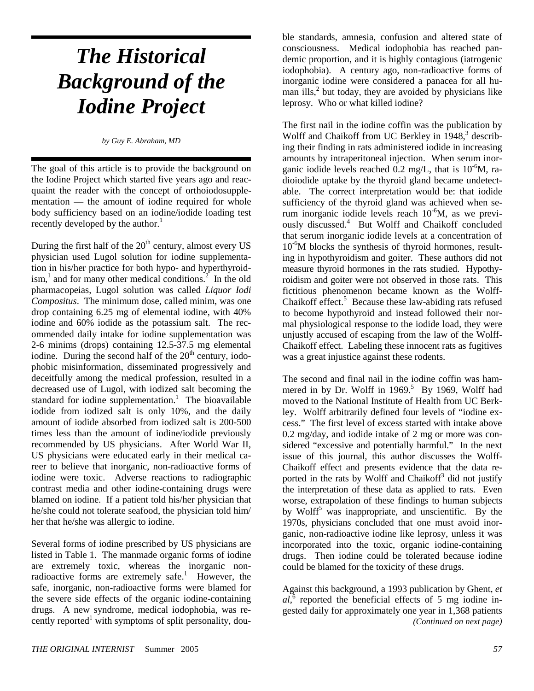# *The Historical Background of the Iodine Project*

*by Guy E. Abraham, MD*

The goal of this article is to provide the background on the Iodine Project which started five years ago and reacquaint the reader with the concept of orthoiodosupplementation — the amount of iodine required for whole body sufficiency based on an iodine/iodide loading test recently developed by the author. $<sup>1</sup>$ </sup>

During the first half of the  $20<sup>th</sup>$  century, almost every US physician used Lugol solution for iodine supplementation in his/her practice for both hypo- and hyperthyroidism,<sup>1</sup> and for many other medical conditions.<sup>2</sup> In the old pharmacopeias, Lugol solution was called *Liquor Iodi Compositus*. The minimum dose, called minim, was one drop containing 6.25 mg of elemental iodine, with 40% iodine and 60% iodide as the potassium salt. The recommended daily intake for iodine supplementation was 2-6 minims (drops) containing 12.5-37.5 mg elemental iodine. During the second half of the  $20<sup>th</sup>$  century, iodophobic misinformation, disseminated progressively and deceitfully among the medical profession, resulted in a decreased use of Lugol, with iodized salt becoming the standard for iodine supplementation.<sup>1</sup> The bioavailable iodide from iodized salt is only 10%, and the daily amount of iodide absorbed from iodized salt is 200-500 times less than the amount of iodine/iodide previously recommended by US physicians. After World War II, US physicians were educated early in their medical career to believe that inorganic, non-radioactive forms of iodine were toxic. Adverse reactions to radiographic contrast media and other iodine-containing drugs were blamed on iodine. If a patient told his/her physician that he/she could not tolerate seafood, the physician told him/ her that he/she was allergic to iodine.

Several forms of iodine prescribed by US physicians are listed in Table 1. The manmade organic forms of iodine are extremely toxic, whereas the inorganic nonradioactive forms are extremely safe.<sup>1</sup> However, the safe, inorganic, non-radioactive forms were blamed for the severe side effects of the organic iodine-containing drugs. A new syndrome, medical iodophobia, was recently reported<sup>1</sup> with symptoms of split personality, double standards, amnesia, confusion and altered state of consciousness. Medical iodophobia has reached pandemic proportion, and it is highly contagious (iatrogenic iodophobia). A century ago, non-radioactive forms of inorganic iodine were considered a panacea for all human ills, $<sup>2</sup>$  but today, they are avoided by physicians like</sup> leprosy. Who or what killed iodine?

The first nail in the iodine coffin was the publication by Wolff and Chaikoff from UC Berkley in 1948,<sup>3</sup> describing their finding in rats administered iodide in increasing amounts by intraperitoneal injection. When serum inorganic iodide levels reached  $0.2 \text{ mg/L}$ , that is  $10^{-6}$ M, radioiodide uptake by the thyroid gland became undetectable. The correct interpretation would be: that iodide sufficiency of the thyroid gland was achieved when serum inorganic iodide levels reach  $10^{-6}$ M, as we previously discussed.<sup>4</sup> But Wolff and Chaikoff concluded that serum inorganic iodide levels at a concentration of  $10^{-6}$ M blocks the synthesis of thyroid hormones, resulting in hypothyroidism and goiter. These authors did not measure thyroid hormones in the rats studied. Hypothyroidism and goiter were not observed in those rats. This fictitious phenomenon became known as the Wolff-Chaikoff effect.<sup>5</sup> Because these law-abiding rats refused to become hypothyroid and instead followed their normal physiological response to the iodide load, they were unjustly accused of escaping from the law of the Wolff-Chaikoff effect. Labeling these innocent rats as fugitives was a great injustice against these rodents.

The second and final nail in the iodine coffin was hammered in by Dr. Wolff in  $1969$ .<sup>5</sup> By 1969, Wolff had moved to the National Institute of Health from UC Berkley. Wolff arbitrarily defined four levels of "iodine excess." The first level of excess started with intake above 0.2 mg/day, and iodide intake of 2 mg or more was considered "excessive and potentially harmful." In the next issue of this journal, this author discusses the Wolff-Chaikoff effect and presents evidence that the data reported in the rats by Wolff and Chaikoff<sup>3</sup> did not justify the interpretation of these data as applied to rats. Even worse, extrapolation of these findings to human subjects by Wolff<sup>5</sup> was inappropriate, and unscientific. By the 1970s, physicians concluded that one must avoid inorganic, non-radioactive iodine like leprosy, unless it was incorporated into the toxic, organic iodine-containing drugs. Then iodine could be tolerated because iodine could be blamed for the toxicity of these drugs.

Against this background, a 1993 publication by Ghent, *et*   $al$ <sup>6</sup> reported the beneficial effects of 5 mg iodine ingested daily for approximately one year in 1,368 patients *(Continued on next page)*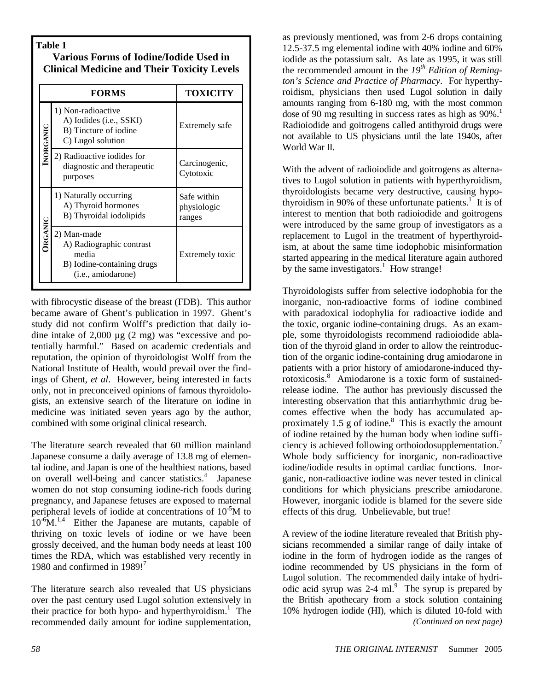# **Table 1**

# **Various Forms of Iodine/Iodide Used in Clinical Medicine and Their Toxicity Levels**

|                | <b>FORMS</b>                                                                                                  | TOXICITY                             |  |  |
|----------------|---------------------------------------------------------------------------------------------------------------|--------------------------------------|--|--|
| INORGANIC      | 1) Non-radioactive<br>A) Iodides (i.e., SSKI)<br>B) Tincture of iodine<br>C) Lugol solution                   | Extremely safe                       |  |  |
|                | 2) Radioactive iodides for<br>diagnostic and therapeutic<br>purposes                                          | Carcinogenic,<br>Cytotoxic           |  |  |
| <b>DRGANIC</b> | 1) Naturally occurring<br>A) Thyroid hormones<br>B) Thyroidal iodolipids                                      | Safe within<br>physiologic<br>ranges |  |  |
|                | 2) Man-made<br>A) Radiographic contrast<br>media<br>B) Iodine-containing drugs<br>( <i>i.e.</i> , amiodarone) | Extremely toxic                      |  |  |

with fibrocystic disease of the breast (FDB). This author became aware of Ghent's publication in 1997. Ghent's study did not confirm Wolff's prediction that daily iodine intake of 2,000 µg (2 mg) was "excessive and potentially harmful." Based on academic credentials and reputation, the opinion of thyroidologist Wolff from the National Institute of Health, would prevail over the findings of Ghent, *et al*. However, being interested in facts only, not in preconceived opinions of famous thyroidologists, an extensive search of the literature on iodine in medicine was initiated seven years ago by the author, combined with some original clinical research.

The literature search revealed that 60 million mainland Japanese consume a daily average of 13.8 mg of elemental iodine, and Japan is one of the healthiest nations, based on overall well-being and cancer statistics.<sup>4</sup> Japanese women do not stop consuming iodine-rich foods during pregnancy, and Japanese fetuses are exposed to maternal peripheral levels of iodide at concentrations of  $10^{-5}M$  to  $10^{-6}$ M.<sup>1,4</sup> Either the Japanese are mutants, capable of thriving on toxic levels of iodine or we have been grossly deceived, and the human body needs at least 100 times the RDA, which was established very recently in 1980 and confirmed in  $1989!^7$ 

The literature search also revealed that US physicians over the past century used Lugol solution extensively in their practice for both hypo- and hyperthyroidism.<sup>1</sup> The recommended daily amount for iodine supplementation,

as previously mentioned, was from 2-6 drops containing 12.5-37.5 mg elemental iodine with 40% iodine and 60% iodide as the potassium salt. As late as 1995, it was still the recommended amount in the *19th Edition of Remington's Science and Practice of Pharmacy*. For hyperthyroidism, physicians then used Lugol solution in daily amounts ranging from 6-180 mg, with the most common dose of 90 mg resulting in success rates as high as  $90\%$ .<sup>1</sup> Radioiodide and goitrogens called antithyroid drugs were not available to US physicians until the late 1940s, after World War II.

With the advent of radioiodide and goitrogens as alternatives to Lugol solution in patients with hyperthyroidism, thyroidologists became very destructive, causing hypothyroidism in 90% of these unfortunate patients.<sup>1</sup> It is of interest to mention that both radioiodide and goitrogens were introduced by the same group of investigators as a replacement to Lugol in the treatment of hyperthyroidism, at about the same time iodophobic misinformation started appearing in the medical literature again authored by the same investigators.<sup>1</sup> How strange!

Thyroidologists suffer from selective iodophobia for the inorganic, non-radioactive forms of iodine combined with paradoxical iodophylia for radioactive iodide and the toxic, organic iodine-containing drugs. As an example, some thyroidologists recommend radioiodide ablation of the thyroid gland in order to allow the reintroduction of the organic iodine-containing drug amiodarone in patients with a prior history of amiodarone-induced thyrotoxicosis.<sup>8</sup> Amiodarone is a toxic form of sustainedrelease iodine. The author has previously discussed the interesting observation that this antiarrhythmic drug becomes effective when the body has accumulated approximately 1.5 g of iodine. $8$  This is exactly the amount of iodine retained by the human body when iodine sufficiency is achieved following orthoiodosupplementation.<sup>7</sup> Whole body sufficiency for inorganic, non-radioactive iodine/iodide results in optimal cardiac functions. Inorganic, non-radioactive iodine was never tested in clinical conditions for which physicians prescribe amiodarone. However, inorganic iodide is blamed for the severe side effects of this drug. Unbelievable, but true!

A review of the iodine literature revealed that British physicians recommended a similar range of daily intake of iodine in the form of hydrogen iodide as the ranges of iodine recommended by US physicians in the form of Lugol solution. The recommended daily intake of hydriodic acid syrup was  $2-4$  ml.<sup>9</sup> The syrup is prepared by the British apothecary from a stock solution containing 10% hydrogen iodide (HI), which is diluted 10-fold with *(Continued on next page)*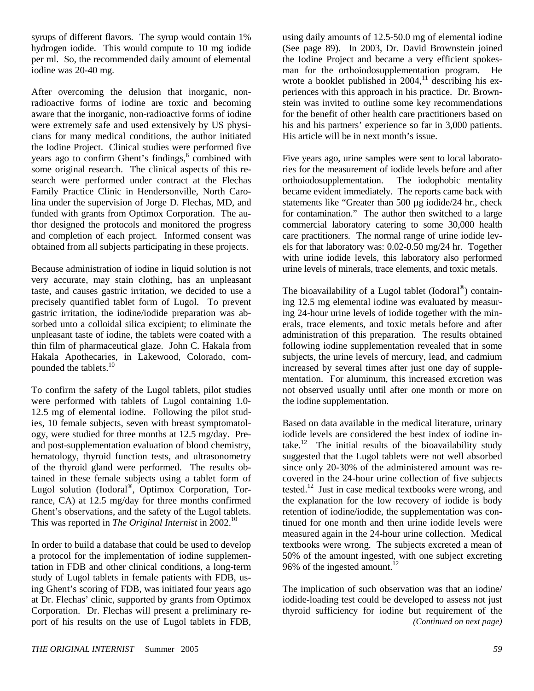syrups of different flavors. The syrup would contain 1% hydrogen iodide. This would compute to 10 mg iodide per ml. So, the recommended daily amount of elemental iodine was 20-40 mg.

After overcoming the delusion that inorganic, nonradioactive forms of iodine are toxic and becoming aware that the inorganic, non-radioactive forms of iodine were extremely safe and used extensively by US physicians for many medical conditions, the author initiated the Iodine Project. Clinical studies were performed five years ago to confirm Ghent's findings,<sup>6</sup> combined with some original research. The clinical aspects of this research were performed under contract at the Flechas Family Practice Clinic in Hendersonville, North Carolina under the supervision of Jorge D. Flechas, MD, and funded with grants from Optimox Corporation. The author designed the protocols and monitored the progress and completion of each project. Informed consent was obtained from all subjects participating in these projects.

Because administration of iodine in liquid solution is not very accurate, may stain clothing, has an unpleasant taste, and causes gastric irritation, we decided to use a precisely quantified tablet form of Lugol. To prevent gastric irritation, the iodine/iodide preparation was absorbed unto a colloidal silica excipient; to eliminate the unpleasant taste of iodine, the tablets were coated with a thin film of pharmaceutical glaze. John C. Hakala from Hakala Apothecaries, in Lakewood, Colorado, compounded the tablets.<sup>10</sup>

To confirm the safety of the Lugol tablets, pilot studies were performed with tablets of Lugol containing 1.0- 12.5 mg of elemental iodine. Following the pilot studies, 10 female subjects, seven with breast symptomatology, were studied for three months at 12.5 mg/day. Preand post-supplementation evaluation of blood chemistry, hematology, thyroid function tests, and ultrasonometry of the thyroid gland were performed. The results obtained in these female subjects using a tablet form of Lugol solution (Iodoral®, Optimox Corporation, Torrance, CA) at 12.5 mg/day for three months confirmed Ghent's observations, and the safety of the Lugol tablets. This was reported in *The Original Internist* in 2002.<sup>10</sup>

In order to build a database that could be used to develop a protocol for the implementation of iodine supplementation in FDB and other clinical conditions, a long-term study of Lugol tablets in female patients with FDB, using Ghent's scoring of FDB, was initiated four years ago at Dr. Flechas' clinic, supported by grants from Optimox Corporation. Dr. Flechas will present a preliminary report of his results on the use of Lugol tablets in FDB,

using daily amounts of 12.5-50.0 mg of elemental iodine (See page 89). In 2003, Dr. David Brownstein joined the Iodine Project and became a very efficient spokesman for the orthoiodosupplementation program. He wrote a booklet published in  $2004$ ,<sup>11</sup> describing his experiences with this approach in his practice. Dr. Brownstein was invited to outline some key recommendations for the benefit of other health care practitioners based on his and his partners' experience so far in 3,000 patients. His article will be in next month's issue.

Five years ago, urine samples were sent to local laboratories for the measurement of iodide levels before and after orthoiodosupplementation. The iodophobic mentality became evident immediately. The reports came back with statements like "Greater than 500 µg iodide/24 hr., check for contamination." The author then switched to a large commercial laboratory catering to some 30,000 health care practitioners. The normal range of urine iodide levels for that laboratory was: 0.02-0.50 mg/24 hr. Together with urine iodide levels, this laboratory also performed urine levels of minerals, trace elements, and toxic metals.

The bioavailability of a Lugol tablet (Iodoral<sup>®</sup>) containing 12.5 mg elemental iodine was evaluated by measuring 24-hour urine levels of iodide together with the minerals, trace elements, and toxic metals before and after administration of this preparation. The results obtained following iodine supplementation revealed that in some subjects, the urine levels of mercury, lead, and cadmium increased by several times after just one day of supplementation. For aluminum, this increased excretion was not observed usually until after one month or more on the iodine supplementation.

Based on data available in the medical literature, urinary iodide levels are considered the best index of iodine intake.<sup>12</sup> The initial results of the bioavailability study suggested that the Lugol tablets were not well absorbed since only 20-30% of the administered amount was recovered in the 24-hour urine collection of five subjects tested.<sup>12</sup> Just in case medical textbooks were wrong, and the explanation for the low recovery of iodide is body retention of iodine/iodide, the supplementation was continued for one month and then urine iodide levels were measured again in the 24-hour urine collection. Medical textbooks were wrong. The subjects excreted a mean of 50% of the amount ingested, with one subject excreting 96% of the ingested amount.<sup>12</sup>

The implication of such observation was that an iodine/ iodide-loading test could be developed to assess not just thyroid sufficiency for iodine but requirement of the *(Continued on next page)*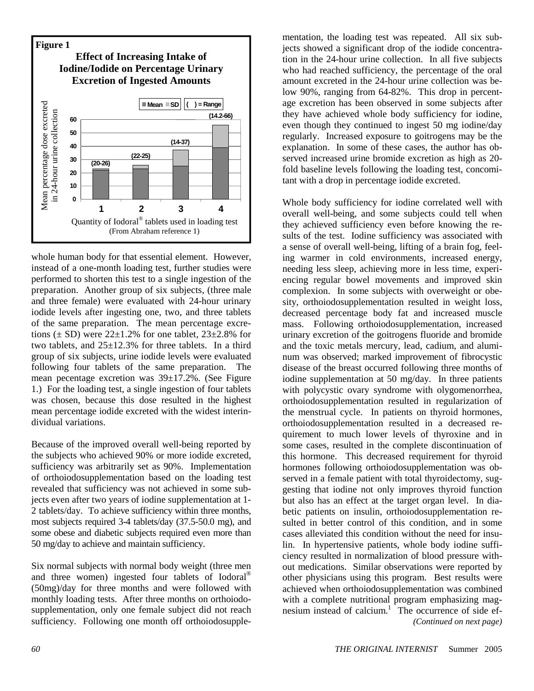

whole human body for that essential element. However, instead of a one-month loading test, further studies were performed to shorten this test to a single ingestion of the preparation. Another group of six subjects, (three male and three female) were evaluated with 24-hour urinary iodide levels after ingesting one, two, and three tablets of the same preparation. The mean percentage excretions  $(\pm SD)$  were 22 $\pm 1.2\%$  for one tablet, 23 $\pm 2.8\%$  for two tablets, and  $25\pm12.3\%$  for three tablets. In a third group of six subjects, urine iodide levels were evaluated following four tablets of the same preparation. The mean pecentage excretion was 39±17.2%. (See Figure 1.) For the loading test, a single ingestion of four tablets was chosen, because this dose resulted in the highest mean percentage iodide excreted with the widest interindividual variations.

Because of the improved overall well-being reported by the subjects who achieved 90% or more iodide excreted, sufficiency was arbitrarily set as 90%. Implementation of orthoiodosupplementation based on the loading test revealed that sufficiency was not achieved in some subjects even after two years of iodine supplementation at 1- 2 tablets/day. To achieve sufficiency within three months, most subjects required 3-4 tablets/day (37.5-50.0 mg), and some obese and diabetic subjects required even more than 50 mg/day to achieve and maintain sufficiency.

Six normal subjects with normal body weight (three men and three women) ingested four tablets of Iodoral® (50mg)/day for three months and were followed with monthly loading tests. After three months on orthoiodosupplementation, only one female subject did not reach sufficiency. Following one month off orthoiodosupple-

mentation, the loading test was repeated. All six subjects showed a significant drop of the iodide concentration in the 24-hour urine collection. In all five subjects who had reached sufficiency, the percentage of the oral amount excreted in the 24-hour urine collection was below 90%, ranging from 64-82%. This drop in percentage excretion has been observed in some subjects after they have achieved whole body sufficiency for iodine, even though they continued to ingest 50 mg iodine/day regularly. Increased exposure to goitrogens may be the explanation. In some of these cases, the author has observed increased urine bromide excretion as high as 20 fold baseline levels following the loading test, concomitant with a drop in percentage iodide excreted.

Whole body sufficiency for iodine correlated well with overall well-being, and some subjects could tell when they achieved sufficiency even before knowing the results of the test. Iodine sufficiency was associated with a sense of overall well-being, lifting of a brain fog, feeling warmer in cold environments, increased energy, needing less sleep, achieving more in less time, experiencing regular bowel movements and improved skin complexion. In some subjects with overweight or obesity, orthoiodosupplementation resulted in weight loss, decreased percentage body fat and increased muscle mass. Following orthoiodosupplementation, increased urinary excretion of the goitrogens fluoride and bromide and the toxic metals mercury, lead, cadium, and aluminum was observed; marked improvement of fibrocystic disease of the breast occurred following three months of iodine supplementation at 50 mg/day. In three patients with polycystic ovary syndrome with olygomenorrhea, orthoiodosupplementation resulted in regularization of the menstrual cycle. In patients on thyroid hormones, orthoiodosupplementation resulted in a decreased requirement to much lower levels of thyroxine and in some cases, resulted in the complete discontinuation of this hormone. This decreased requirement for thyroid hormones following orthoiodosupplementation was observed in a female patient with total thyroidectomy, suggesting that iodine not only improves thyroid function but also has an effect at the target organ level. In diabetic patients on insulin, orthoiodosupplementation resulted in better control of this condition, and in some cases alleviated this condition without the need for insulin. In hypertensive patients, whole body iodine sufficiency resulted in normalization of blood pressure without medications. Similar observations were reported by other physicians using this program. Best results were achieved when orthoiodosupplementation was combined with a complete nutritional program emphasizing magnesium instead of calcium.<sup>1</sup> The occurrence of side ef-*(Continued on next page)*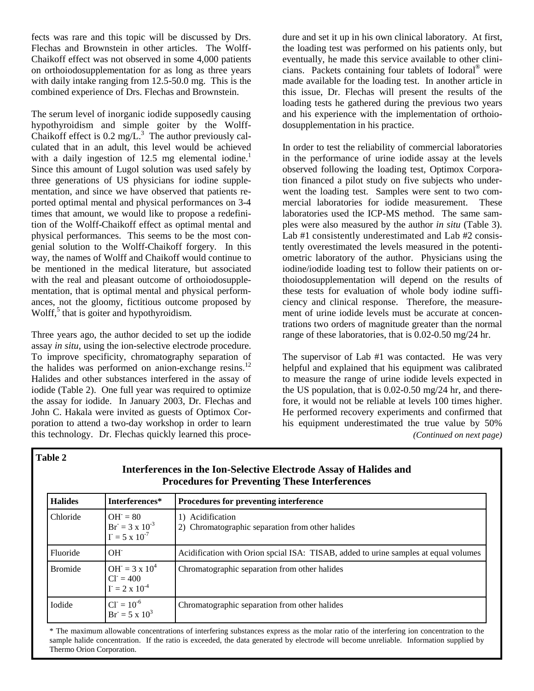fects was rare and this topic will be discussed by Drs. Flechas and Brownstein in other articles. The Wolff-Chaikoff effect was not observed in some 4,000 patients on orthoiodosupplementation for as long as three years with daily intake ranging from 12.5-50.0 mg. This is the combined experience of Drs. Flechas and Brownstein.

The serum level of inorganic iodide supposedly causing hypothyroidism and simple goiter by the Wolff-Chaikoff effect is  $0.2 \text{ mg/L}^3$ . The author previously calculated that in an adult, this level would be achieved with a daily ingestion of 12.5 mg elemental iodine.<sup>1</sup> Since this amount of Lugol solution was used safely by three generations of US physicians for iodine supplementation, and since we have observed that patients reported optimal mental and physical performances on 3-4 times that amount, we would like to propose a redefinition of the Wolff-Chaikoff effect as optimal mental and physical performances. This seems to be the most congenial solution to the Wolff-Chaikoff forgery. In this way, the names of Wolff and Chaikoff would continue to be mentioned in the medical literature, but associated with the real and pleasant outcome of orthoiodosupplementation, that is optimal mental and physical performances, not the gloomy, fictitious outcome proposed by Wolff,<sup>5</sup> that is goiter and hypothyroidism.

Three years ago, the author decided to set up the iodide assay *in situ*, using the ion-selective electrode procedure. To improve specificity, chromatography separation of the halides was performed on anion-exchange resins.<sup>12</sup> Halides and other substances interfered in the assay of iodide (Table 2). One full year was required to optimize the assay for iodide. In January 2003, Dr. Flechas and John C. Hakala were invited as guests of Optimox Corporation to attend a two-day workshop in order to learn this technology. Dr. Flechas quickly learned this proce-

dure and set it up in his own clinical laboratory. At first, the loading test was performed on his patients only, but eventually, he made this service available to other clinicians. Packets containing four tablets of Iodoral® were made available for the loading test. In another article in this issue, Dr. Flechas will present the results of the loading tests he gathered during the previous two years and his experience with the implementation of orthoiodosupplementation in his practice.

In order to test the reliability of commercial laboratories in the performance of urine iodide assay at the levels observed following the loading test, Optimox Corporation financed a pilot study on five subjects who underwent the loading test. Samples were sent to two commercial laboratories for iodide measurement. These laboratories used the ICP-MS method. The same samples were also measured by the author *in situ* (Table 3). Lab #1 consistently underestimated and Lab #2 consistently overestimated the levels measured in the potentiometric laboratory of the author. Physicians using the iodine/iodide loading test to follow their patients on orthoiodosupplementation will depend on the results of these tests for evaluation of whole body iodine sufficiency and clinical response. Therefore, the measurement of urine iodide levels must be accurate at concentrations two orders of magnitude greater than the normal range of these laboratories, that is 0.02-0.50 mg/24 hr.

The supervisor of Lab #1 was contacted. He was very helpful and explained that his equipment was calibrated to measure the range of urine iodide levels expected in the US population, that is 0.02-0.50 mg/24 hr, and therefore, it would not be reliable at levels 100 times higher. He performed recovery experiments and confirmed that his equipment underestimated the true value by 50% *(Continued on next page)* 

**Table 2** 

| <b>Halides</b> | Interferences*<br>Procedures for preventing interference            |                                                                                     |  |  |  |
|----------------|---------------------------------------------------------------------|-------------------------------------------------------------------------------------|--|--|--|
| Chloride       | $OH = 80$<br>$Br = 3 \times 10^{-3}$<br>$\Gamma = 5 \times 10^{-7}$ | 1) Acidification<br>2) Chromatographic separation from other halides                |  |  |  |
| Fluoride       | $OH^-$                                                              | Acidification with Orion spcial ISA: TISAB, added to urine samples at equal volumes |  |  |  |
| <b>Bromide</b> | $OH = 3 \times 10^4$<br>$CI = 400$<br>$\Gamma = 2 \times 10^{-4}$   | Chromatographic separation from other halides                                       |  |  |  |
| Iodide         | $CI = 10^{-6}$<br>$Br = 5 \times 10^3$                              | Chromatographic separation from other halides                                       |  |  |  |

**Interferences in the Ion-Selective Electrode Assay of Halides and** 

\* The maximum allowable concentrations of interfering substances express as the molar ratio of the interfering ion concentration to the sample halide concentration. If the ratio is exceeded, the data generated by electrode will become unreliable. Information supplied by Thermo Orion Corporation.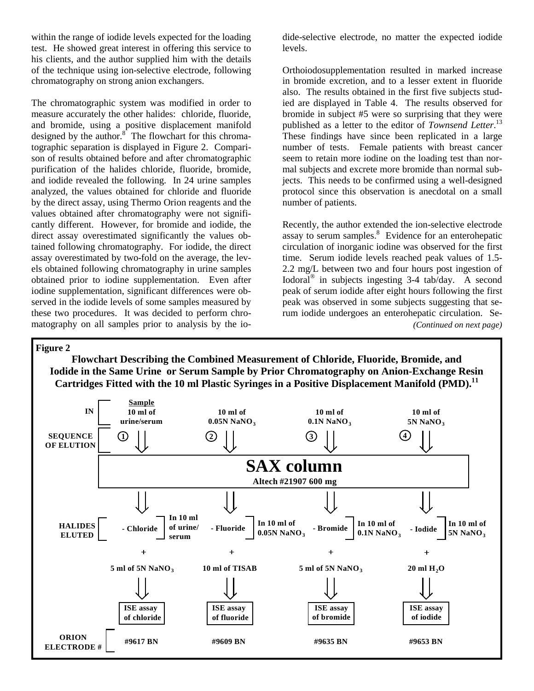within the range of iodide levels expected for the loading test. He showed great interest in offering this service to his clients, and the author supplied him with the details of the technique using ion-selective electrode, following chromatography on strong anion exchangers.

The chromatographic system was modified in order to measure accurately the other halides: chloride, fluoride, and bromide, using a positive displacement manifold designed by the author.<sup>8</sup> The flowchart for this chromatographic separation is displayed in Figure 2. Comparison of results obtained before and after chromatographic purification of the halides chloride, fluoride, bromide, and iodide revealed the following. In 24 urine samples analyzed, the values obtained for chloride and fluoride by the direct assay, using Thermo Orion reagents and the values obtained after chromatography were not significantly different. However, for bromide and iodide, the direct assay overestimated significantly the values obtained following chromatography. For iodide, the direct assay overestimated by two-fold on the average, the levels obtained following chromatography in urine samples obtained prior to iodine supplementation. Even after iodine supplementation, significant differences were observed in the iodide levels of some samples measured by these two procedures. It was decided to perform chromatography on all samples prior to analysis by the iodide-selective electrode, no matter the expected iodide levels.

Orthoiodosupplementation resulted in marked increase in bromide excretion, and to a lesser extent in fluoride also. The results obtained in the first five subjects studied are displayed in Table 4. The results observed for bromide in subject #5 were so surprising that they were published as a letter to the editor of *Townsend Letter*. 13 These findings have since been replicated in a large number of tests. Female patients with breast cancer seem to retain more iodine on the loading test than normal subjects and excrete more bromide than normal subjects. This needs to be confirmed using a well-designed protocol since this observation is anecdotal on a small number of patients.

Recently, the author extended the ion-selective electrode assay to serum samples.<sup>8</sup> Evidence for an enterohepatic circulation of inorganic iodine was observed for the first time. Serum iodide levels reached peak values of 1.5- 2.2 mg/L between two and four hours post ingestion of Iodoral® in subjects ingesting 3-4 tab/day. A second peak of serum iodide after eight hours following the first peak was observed in some subjects suggesting that serum iodide undergoes an enterohepatic circulation. Se- *(Continued on next page)* 

## **Figure 2**

**Flowchart Describing the Combined Measurement of Chloride, Fluoride, Bromide, and Iodide in the Same Urine or Serum Sample by Prior Chromatography on Anion-Exchange Resin**  Cartridges Fitted with the 10 ml Plastic Syringes in a Positive Displacement Manifold (PMD).<sup>11</sup>

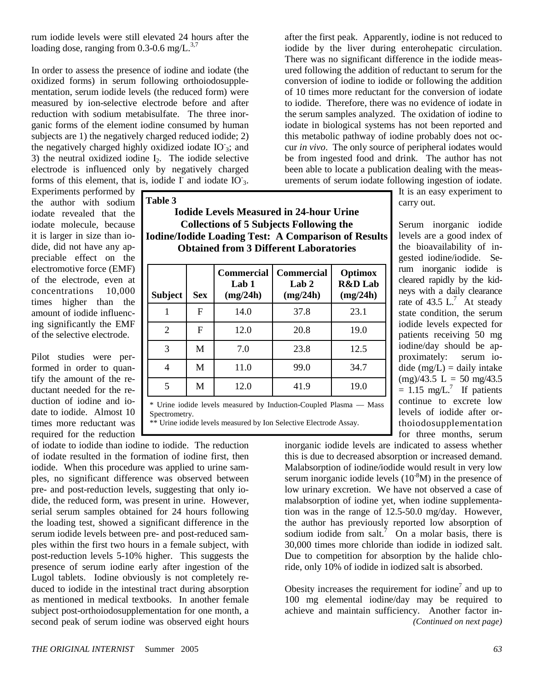rum iodide levels were still elevated 24 hours after the loading dose, ranging from  $0.3$ -0.6 mg/L. $^{3,7}$ 

In order to assess the presence of iodine and iodate (the oxidized forms) in serum following orthoiodosupplementation, serum iodide levels (the reduced form) were measured by ion-selective electrode before and after reduction with sodium metabisulfate. The three inorganic forms of the element iodine consumed by human subjects are 1) the negatively charged reduced iodide; 2) the negatively charged highly oxidized iodate IO<sub>3</sub>; and 3) the neutral oxidized iodine  $I_2$ . The iodide selective electrode is influenced only by negatively charged forms of this element, that is, iodide  $\Gamma$  and iodate IO<sub>3</sub>.

Experiments performed by the author with sodium iodate revealed that the iodate molecule, because it is larger in size than iodide, did not have any appreciable effect on the electromotive force (EMF) of the electrode, even at concentrations 10,000 times higher than the amount of iodide influencing significantly the EMF of the selective electrode.

Pilot studies were performed in order to quantify the amount of the reductant needed for the reduction of iodine and iodate to iodide. Almost 10 times more reductant was required for the reduction **Table 3** 

**Iodide Levels Measured in 24-hour Urine Collections of 5 Subjects Following the Iodine/Iodide Loading Test: A Comparison of Results Obtained from 3 Different Laboratories** 

| <b>Subject</b>                                                                                                                                                                                                                                    | <b>Sex</b> | <b>Commercial</b><br>Lab 1<br>(mg/24h) | Commercial<br>Lab 2<br>(mg/24h) | Optimox<br><b>R&amp;D</b> Lab<br>(mg/24h) |  |  |
|---------------------------------------------------------------------------------------------------------------------------------------------------------------------------------------------------------------------------------------------------|------------|----------------------------------------|---------------------------------|-------------------------------------------|--|--|
|                                                                                                                                                                                                                                                   | F          | 14.0                                   | 37.8                            | 23.1                                      |  |  |
| $\overline{2}$                                                                                                                                                                                                                                    | F          | 12.0                                   | 20.8                            | 19.0                                      |  |  |
| 3                                                                                                                                                                                                                                                 | M          | 7.0                                    | 23.8                            | 12.5                                      |  |  |
| 4                                                                                                                                                                                                                                                 | M          | 11.0                                   | 99.0                            | 34.7                                      |  |  |
| 5                                                                                                                                                                                                                                                 | M          | 12.0                                   | 41.9                            | 19.0                                      |  |  |
| $\ast$ if the state is the state of the state of the state of the state of the state of the state of the state of the state of the state of the state of the state of the state of the state of the state of the state of the s<br>$\blacksquare$ |            |                                        |                                 |                                           |  |  |

Urine iodide levels measured by Induction-Coupled Plasma — Mass Spectrometry.

\*\* Urine iodide levels measured by Ion Selective Electrode Assay.

of iodate to iodide than iodine to iodide. The reduction of iodate resulted in the formation of iodine first, then iodide. When this procedure was applied to urine samples, no significant difference was observed between pre- and post-reduction levels, suggesting that only iodide, the reduced form, was present in urine. However, serial serum samples obtained for 24 hours following the loading test, showed a significant difference in the serum iodide levels between pre- and post-reduced samples within the first two hours in a female subject, with post-reduction levels 5-10% higher. This suggests the presence of serum iodine early after ingestion of the Lugol tablets. Iodine obviously is not completely reduced to iodide in the intestinal tract during absorption as mentioned in medical textbooks. In another female subject post-orthoiodosupplementation for one month, a second peak of serum iodine was observed eight hours

after the first peak. Apparently, iodine is not reduced to iodide by the liver during enterohepatic circulation. There was no significant difference in the iodide measured following the addition of reductant to serum for the conversion of iodine to iodide or following the addition of 10 times more reductant for the conversion of iodate to iodide. Therefore, there was no evidence of iodate in the serum samples analyzed. The oxidation of iodine to iodate in biological systems has not been reported and this metabolic pathway of iodine probably does not occur *in vivo*. The only source of peripheral iodates would be from ingested food and drink. The author has not been able to locate a publication dealing with the measurements of serum iodate following ingestion of iodate.

> It is an easy experiment to carry out.

Serum inorganic iodide levels are a good index of the bioavailability of ingested iodine/iodide. Serum inorganic iodide is cleared rapidly by the kidneys with a daily clearance rate of 43.5  $L^7$ . At steady state condition, the serum iodide levels expected for patients receiving 50 mg iodine/day should be approximately: serum iodide  $(mg/L) =$  daily intake  $(mg)/43.5$  L = 50 mg/43.5  $= 1.15$  mg/L.<sup>7</sup> If patients continue to excrete low levels of iodide after orthoiodosupplementation for three months, serum

inorganic iodide levels are indicated to assess whether this is due to decreased absorption or increased demand. Malabsorption of iodine/iodide would result in very low serum inorganic iodide levels  $(10^{-8}M)$  in the presence of low urinary excretion. We have not observed a case of malabsorption of iodine yet, when iodine supplementation was in the range of 12.5-50.0 mg/day. However, the author has previously reported low absorption of sodium iodide from salt.<sup>7</sup> On a molar basis, there is 30,000 times more chloride than iodide in iodized salt. Due to competition for absorption by the halide chloride, only 10% of iodide in iodized salt is absorbed.

Obesity increases the requirement for iodine<sup>7</sup> and up to 100 mg elemental iodine/day may be required to achieve and maintain sufficiency. Another factor in-*(Continued on next page)*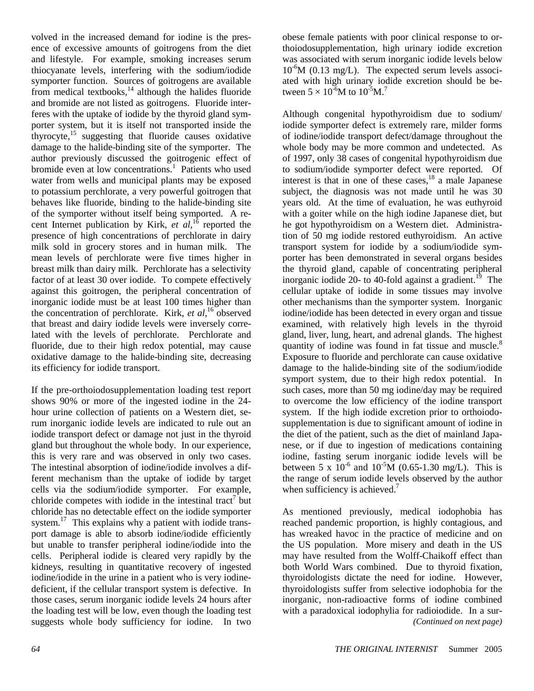volved in the increased demand for iodine is the presence of excessive amounts of goitrogens from the diet and lifestyle. For example, smoking increases serum thiocyanate levels, interfering with the sodium/iodide symporter function. Sources of goitrogens are available from medical textbooks, $14$  although the halides fluoride and bromide are not listed as goitrogens. Fluoride interferes with the uptake of iodide by the thyroid gland symporter system, but it is itself not transported inside the thyrocyte, $15$  suggesting that fluoride causes oxidative damage to the halide-binding site of the symporter. The author previously discussed the goitrogenic effect of bromide even at low concentrations.<sup>1</sup> Patients who used water from wells and municipal plants may be exposed to potassium perchlorate, a very powerful goitrogen that behaves like fluoride, binding to the halide-binding site of the symporter without itself being symported. A recent Internet publication by Kirk, *et al*, 16 reported the presence of high concentrations of perchlorate in dairy milk sold in grocery stores and in human milk. The mean levels of perchlorate were five times higher in breast milk than dairy milk. Perchlorate has a selectivity factor of at least 30 over iodide. To compete effectively against this goitrogen, the peripheral concentration of inorganic iodide must be at least 100 times higher than the concentration of perchlorate. Kirk, *et al*, 16 observed that breast and dairy iodide levels were inversely correlated with the levels of perchlorate. Perchlorate and fluoride, due to their high redox potential, may cause oxidative damage to the halide-binding site, decreasing its efficiency for iodide transport.

If the pre-orthoiodosupplementation loading test report shows 90% or more of the ingested iodine in the 24 hour urine collection of patients on a Western diet, serum inorganic iodide levels are indicated to rule out an iodide transport defect or damage not just in the thyroid gland but throughout the whole body. In our experience, this is very rare and was observed in only two cases. The intestinal absorption of iodine/iodide involves a different mechanism than the uptake of iodide by target cells via the sodium/iodide symporter. For example, chloride competes with iodide in the intestinal tract<sup>7</sup> but chloride has no detectable effect on the iodide symporter system. $17$  This explains why a patient with iodide transport damage is able to absorb iodine/iodide efficiently but unable to transfer peripheral iodine/iodide into the cells. Peripheral iodide is cleared very rapidly by the kidneys, resulting in quantitative recovery of ingested iodine/iodide in the urine in a patient who is very iodinedeficient, if the cellular transport system is defective. In those cases, serum inorganic iodide levels 24 hours after the loading test will be low, even though the loading test suggests whole body sufficiency for iodine. In two

obese female patients with poor clinical response to orthoiodosupplementation, high urinary iodide excretion was associated with serum inorganic iodide levels below  $10^{-6}M$  (0.13 mg/L). The expected serum levels associated with high urinary iodide excretion should be between  $5 \times 10^{-6}$ M to  $10^{-5}$ M.<sup>7</sup>

Although congenital hypothyroidism due to sodium/ iodide symporter defect is extremely rare, milder forms of iodine/iodide transport defect/damage throughout the whole body may be more common and undetected. As of 1997, only 38 cases of congenital hypothyroidism due to sodium/iodide symporter defect were reported. Of interest is that in one of these cases,  $\frac{18}{3}$  a male Japanese subject, the diagnosis was not made until he was 30 years old. At the time of evaluation, he was euthyroid with a goiter while on the high iodine Japanese diet, but he got hypothyroidism on a Western diet. Administration of 50 mg iodide restored euthyroidism. An active transport system for iodide by a sodium/iodide symporter has been demonstrated in several organs besides the thyroid gland, capable of concentrating peripheral inorganic iodide 20- to 40-fold against a gradient.<sup>19</sup> The cellular uptake of iodide in some tissues may involve other mechanisms than the symporter system. Inorganic iodine/iodide has been detected in every organ and tissue examined, with relatively high levels in the thyroid gland, liver, lung, heart, and adrenal glands. The highest quantity of iodine was found in fat tissue and muscle.<sup>8</sup> Exposure to fluoride and perchlorate can cause oxidative damage to the halide-binding site of the sodium/iodide symport system, due to their high redox potential. In such cases, more than 50 mg iodine/day may be required to overcome the low efficiency of the iodine transport system. If the high iodide excretion prior to orthoiodosupplementation is due to significant amount of iodine in the diet of the patient, such as the diet of mainland Japanese, or if due to ingestion of medications containing iodine, fasting serum inorganic iodide levels will be between 5 x  $10^{-6}$  and  $10^{-5}$ M (0.65-1.30 mg/L). This is the range of serum iodide levels observed by the author when sufficiency is achieved.<sup>7</sup>

As mentioned previously, medical iodophobia has reached pandemic proportion, is highly contagious, and has wreaked havoc in the practice of medicine and on the US population. More misery and death in the US may have resulted from the Wolff-Chaikoff effect than both World Wars combined. Due to thyroid fixation, thyroidologists dictate the need for iodine. However, thyroidologists suffer from selective iodophobia for the inorganic, non-radioactive forms of iodine combined with a paradoxical iodophylia for radioiodide. In a sur- *(Continued on next page)*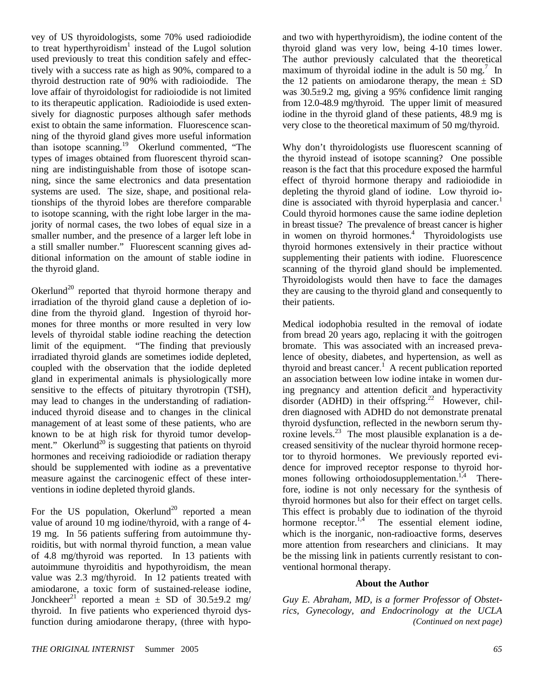vey of US thyroidologists, some 70% used radioiodide to treat hyperthyroidism<sup>1</sup> instead of the Lugol solution used previously to treat this condition safely and effectively with a success rate as high as 90%, compared to a thyroid destruction rate of 90% with radioiodide. The love affair of thyroidologist for radioiodide is not limited to its therapeutic application. Radioiodide is used extensively for diagnostic purposes although safer methods exist to obtain the same information. Fluorescence scanning of the thyroid gland gives more useful information than isotope scanning.19 Okerlund commented, "The types of images obtained from fluorescent thyroid scanning are indistinguishable from those of isotope scanning, since the same electronics and data presentation systems are used. The size, shape, and positional relationships of the thyroid lobes are therefore comparable to isotope scanning, with the right lobe larger in the majority of normal cases, the two lobes of equal size in a smaller number, and the presence of a larger left lobe in a still smaller number." Fluorescent scanning gives additional information on the amount of stable iodine in the thyroid gland.

Okerlund<sup>20</sup> reported that thyroid hormone therapy and irradiation of the thyroid gland cause a depletion of iodine from the thyroid gland. Ingestion of thyroid hormones for three months or more resulted in very low levels of thyroidal stable iodine reaching the detection limit of the equipment. "The finding that previously irradiated thyroid glands are sometimes iodide depleted, coupled with the observation that the iodide depleted gland in experimental animals is physiologically more sensitive to the effects of pituitary thyrotropin (TSH), may lead to changes in the understanding of radiationinduced thyroid disease and to changes in the clinical management of at least some of these patients, who are known to be at high risk for thyroid tumor development." Okerlund<sup>20</sup> is suggesting that patients on thyroid hormones and receiving radioiodide or radiation therapy should be supplemented with iodine as a preventative measure against the carcinogenic effect of these interventions in iodine depleted thyroid glands.

For the US population, Okerlund<sup>20</sup> reported a mean value of around 10 mg iodine/thyroid, with a range of 4- 19 mg. In 56 patients suffering from autoimmune thyroiditis, but with normal thyroid function, a mean value of 4.8 mg/thyroid was reported. In 13 patients with autoimmune thyroiditis and hypothyroidism, the mean value was 2.3 mg/thyroid. In 12 patients treated with amiodarone, a toxic form of sustained-release iodine, Jonckheer<sup>21</sup> reported a mean  $\pm$  SD of 30.5 $\pm$ 9.2 mg/ thyroid. In five patients who experienced thyroid dysfunction during amiodarone therapy, (three with hypoand two with hyperthyroidism), the iodine content of the thyroid gland was very low, being 4-10 times lower. The author previously calculated that the theoretical maximum of thyroidal iodine in the adult is 50 mg.<sup>7</sup> In the 12 patients on amiodarone therapy, the mean  $\pm$  SD was 30.5±9.2 mg, giving a 95% confidence limit ranging from 12.0-48.9 mg/thyroid. The upper limit of measured iodine in the thyroid gland of these patients, 48.9 mg is very close to the theoretical maximum of 50 mg/thyroid.

Why don't thyroidologists use fluorescent scanning of the thyroid instead of isotope scanning? One possible reason is the fact that this procedure exposed the harmful effect of thyroid hormone therapy and radioiodide in depleting the thyroid gland of iodine. Low thyroid iodine is associated with thyroid hyperplasia and cancer.<sup>1</sup> Could thyroid hormones cause the same iodine depletion in breast tissue? The prevalence of breast cancer is higher in women on thyroid hormones.<sup>4</sup> Thyroidologists use thyroid hormones extensively in their practice without supplementing their patients with iodine. Fluorescence scanning of the thyroid gland should be implemented. Thyroidologists would then have to face the damages they are causing to the thyroid gland and consequently to their patients.

Medical iodophobia resulted in the removal of iodate from bread 20 years ago, replacing it with the goitrogen bromate. This was associated with an increased prevalence of obesity, diabetes, and hypertension, as well as thyroid and breast cancer.<sup>1</sup> A recent publication reported an association between low iodine intake in women during pregnancy and attention deficit and hyperactivity disorder (ADHD) in their offspring.<sup>22</sup> However, children diagnosed with ADHD do not demonstrate prenatal thyroid dysfunction, reflected in the newborn serum thyroxine levels.<sup>23</sup> The most plausible explanation is a decreased sensitivity of the nuclear thyroid hormone receptor to thyroid hormones. We previously reported evidence for improved receptor response to thyroid hormones following orthoiodosupplementation.<sup>1,4</sup> Therefore, iodine is not only necessary for the synthesis of thyroid hormones but also for their effect on target cells. This effect is probably due to iodination of the thyroid hormone receptor. $1.4$  The essential element iodine, which is the inorganic, non-radioactive forms, deserves more attention from researchers and clinicians. It may be the missing link in patients currently resistant to conventional hormonal therapy.

## **About the Author**

*Guy E. Abraham, MD, is a former Professor of Obstetrics, Gynecology, and Endocrinology at the UCLA (Continued on next page)*